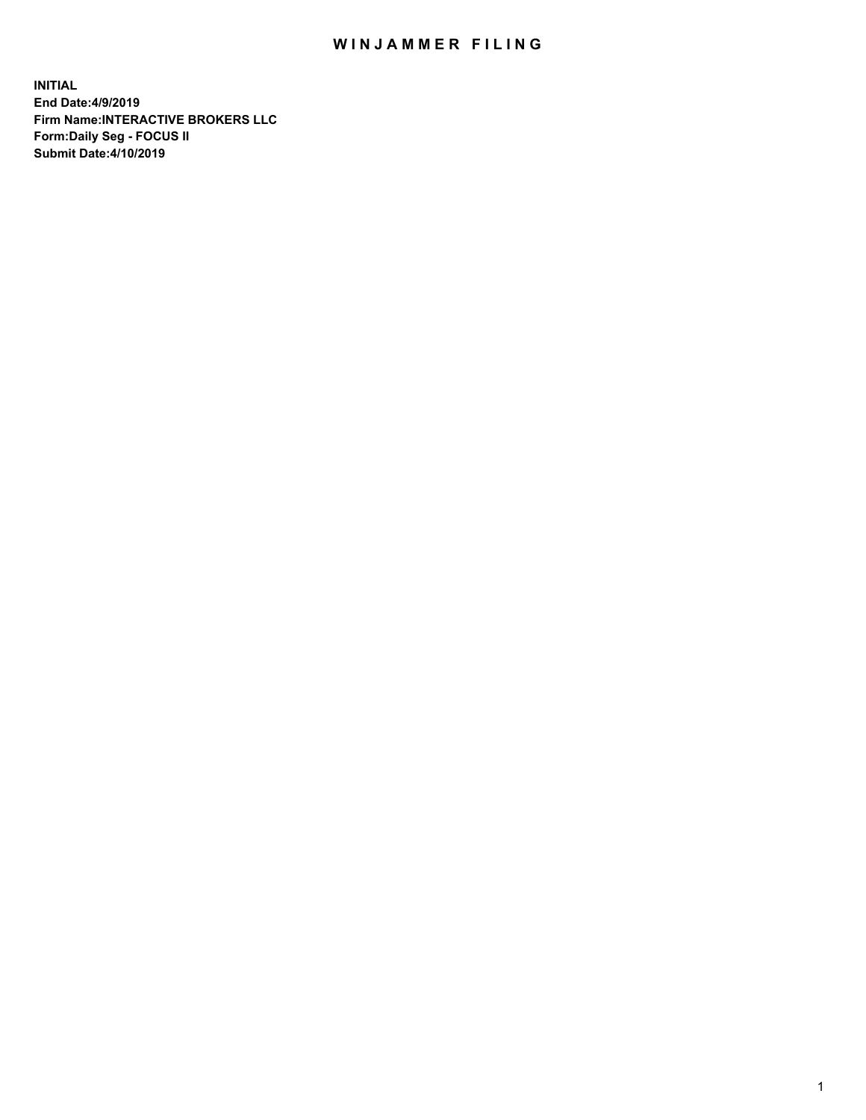## WIN JAMMER FILING

**INITIAL End Date:4/9/2019 Firm Name:INTERACTIVE BROKERS LLC Form:Daily Seg - FOCUS II Submit Date:4/10/2019**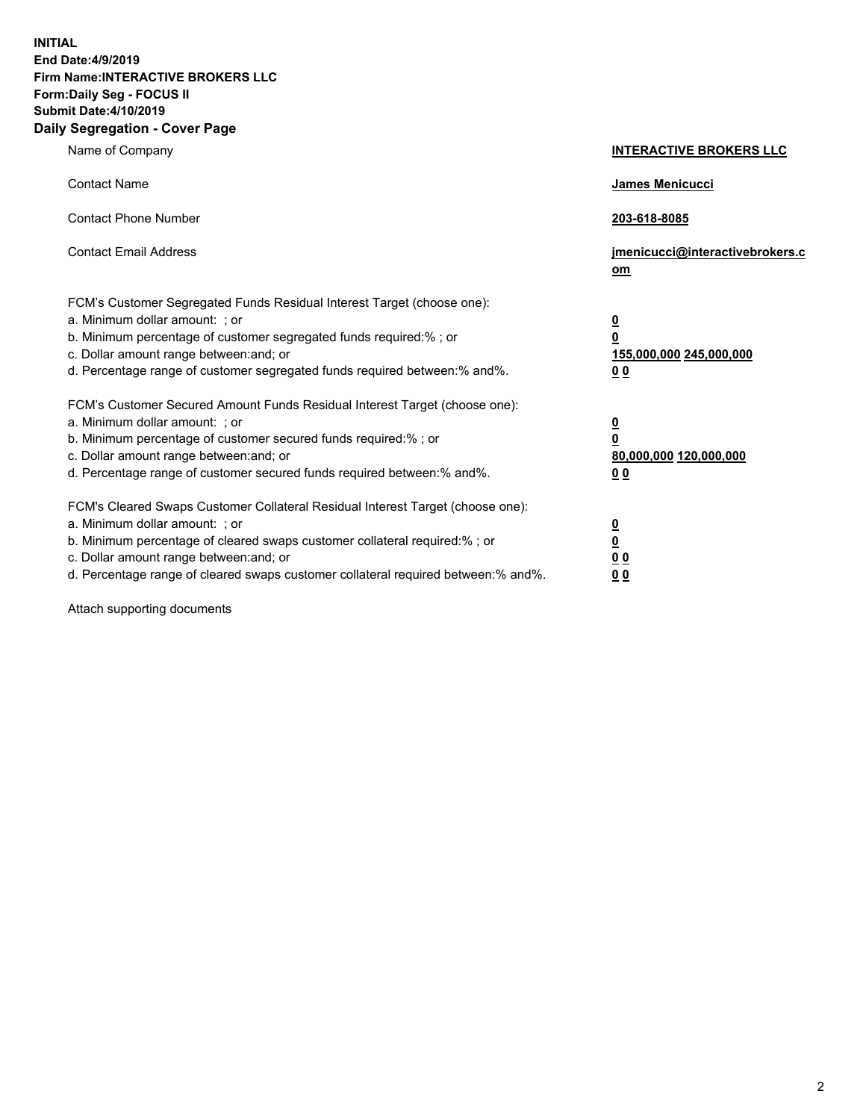**INITIAL End Date:4/9/2019 Firm Name:INTERACTIVE BROKERS LLC Form:Daily Seg - FOCUS II Submit Date:4/10/2019 Daily Segregation - Cover Page**

| Name of Company                                                                                                                                                                                                                                                                                                                | <b>INTERACTIVE BROKERS LLC</b>                                                                  |
|--------------------------------------------------------------------------------------------------------------------------------------------------------------------------------------------------------------------------------------------------------------------------------------------------------------------------------|-------------------------------------------------------------------------------------------------|
| <b>Contact Name</b>                                                                                                                                                                                                                                                                                                            | James Menicucci                                                                                 |
| <b>Contact Phone Number</b>                                                                                                                                                                                                                                                                                                    | 203-618-8085                                                                                    |
| <b>Contact Email Address</b>                                                                                                                                                                                                                                                                                                   | jmenicucci@interactivebrokers.c<br>om                                                           |
| FCM's Customer Segregated Funds Residual Interest Target (choose one):<br>a. Minimum dollar amount: ; or<br>b. Minimum percentage of customer segregated funds required:% ; or<br>c. Dollar amount range between: and; or<br>d. Percentage range of customer segregated funds required between:% and%.                         | $\overline{\mathbf{0}}$<br>$\overline{\mathbf{0}}$<br>155,000,000 245,000,000<br>0 <sub>0</sub> |
| FCM's Customer Secured Amount Funds Residual Interest Target (choose one):<br>a. Minimum dollar amount: ; or<br>b. Minimum percentage of customer secured funds required:%; or<br>c. Dollar amount range between: and; or<br>d. Percentage range of customer secured funds required between:% and%.                            | $\overline{\mathbf{0}}$<br>$\overline{\mathbf{0}}$<br>80,000,000 120,000,000<br>00              |
| FCM's Cleared Swaps Customer Collateral Residual Interest Target (choose one):<br>a. Minimum dollar amount: ; or<br>b. Minimum percentage of cleared swaps customer collateral required:% ; or<br>c. Dollar amount range between: and; or<br>d. Percentage range of cleared swaps customer collateral required between:% and%. | $\overline{\mathbf{0}}$<br><u>0</u><br>0 <sub>0</sub><br>0 <sub>0</sub>                         |

Attach supporting documents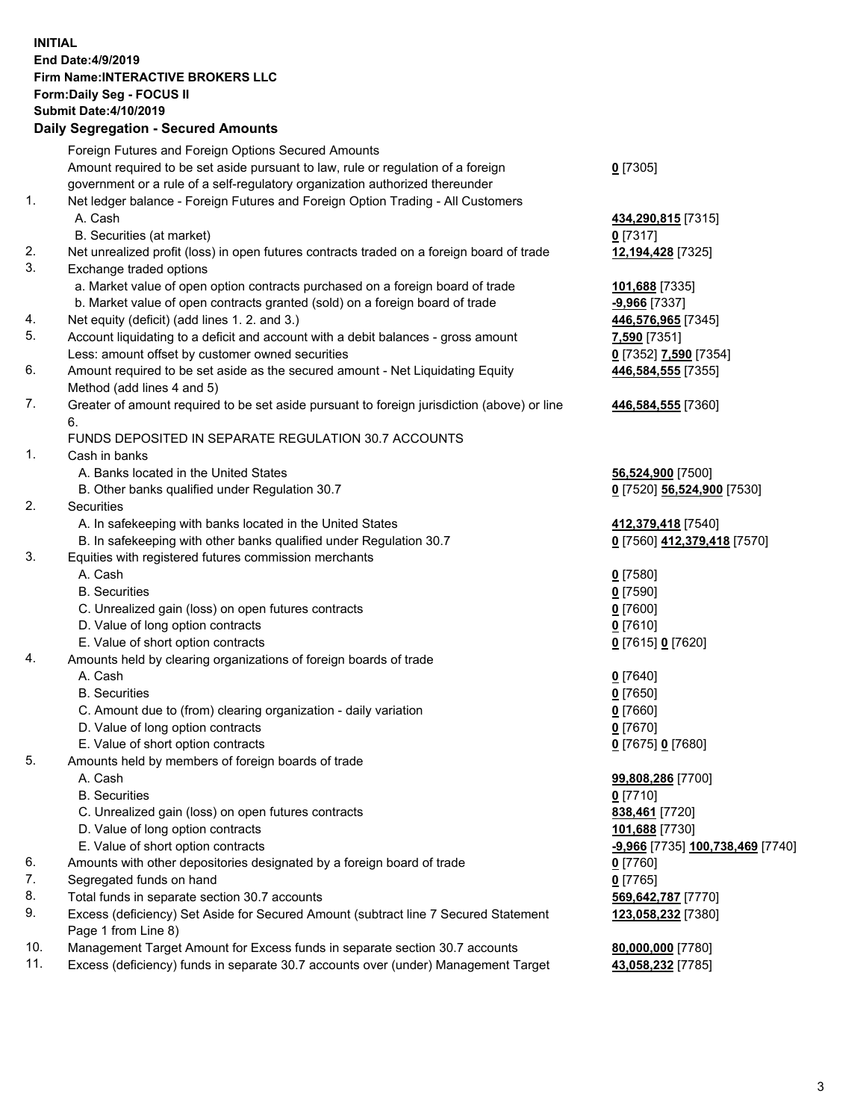## **INITIAL End Date:4/9/2019 Firm Name:INTERACTIVE BROKERS LLC Form:Daily Seg - FOCUS II Submit Date:4/10/2019 Daily Segregation - Secured Amounts**

|     | Daily Segregation - Secured Amounts                                                                        |                                  |
|-----|------------------------------------------------------------------------------------------------------------|----------------------------------|
|     | Foreign Futures and Foreign Options Secured Amounts                                                        |                                  |
|     | Amount required to be set aside pursuant to law, rule or regulation of a foreign                           | $0$ [7305]                       |
|     | government or a rule of a self-regulatory organization authorized thereunder                               |                                  |
| 1.  | Net ledger balance - Foreign Futures and Foreign Option Trading - All Customers                            |                                  |
|     | A. Cash                                                                                                    | 434,290,815 [7315]               |
|     | B. Securities (at market)                                                                                  | $0$ [7317]                       |
| 2.  | Net unrealized profit (loss) in open futures contracts traded on a foreign board of trade                  | 12,194,428 [7325]                |
| 3.  | Exchange traded options                                                                                    |                                  |
|     | a. Market value of open option contracts purchased on a foreign board of trade                             | 101,688 [7335]                   |
|     | b. Market value of open contracts granted (sold) on a foreign board of trade                               | $-9,966$ [7337]                  |
| 4.  | Net equity (deficit) (add lines 1. 2. and 3.)                                                              | 446,576,965 [7345]               |
| 5.  | Account liquidating to a deficit and account with a debit balances - gross amount                          | 7,590 [7351]                     |
|     | Less: amount offset by customer owned securities                                                           | 0 [7352] 7,590 [7354]            |
| 6.  | Amount required to be set aside as the secured amount - Net Liquidating Equity                             | 446,584,555 [7355]               |
|     | Method (add lines 4 and 5)                                                                                 |                                  |
| 7.  | Greater of amount required to be set aside pursuant to foreign jurisdiction (above) or line<br>6.          | 446,584,555 [7360]               |
|     | FUNDS DEPOSITED IN SEPARATE REGULATION 30.7 ACCOUNTS                                                       |                                  |
| 1.  | Cash in banks                                                                                              |                                  |
|     | A. Banks located in the United States                                                                      | 56,524,900 [7500]                |
|     | B. Other banks qualified under Regulation 30.7                                                             | 0 [7520] 56,524,900 [7530]       |
| 2.  | Securities                                                                                                 |                                  |
|     | A. In safekeeping with banks located in the United States                                                  | 412,379,418 [7540]               |
|     | B. In safekeeping with other banks qualified under Regulation 30.7                                         | 0 [7560] 412,379,418 [7570]      |
| 3.  | Equities with registered futures commission merchants                                                      |                                  |
|     | A. Cash                                                                                                    | $0$ [7580]                       |
|     | <b>B.</b> Securities                                                                                       | $0$ [7590]                       |
|     | C. Unrealized gain (loss) on open futures contracts                                                        | $0$ [7600]                       |
|     | D. Value of long option contracts                                                                          | $0$ [7610]                       |
|     | E. Value of short option contracts                                                                         | 0 [7615] 0 [7620]                |
| 4.  | Amounts held by clearing organizations of foreign boards of trade                                          |                                  |
|     | A. Cash                                                                                                    | $0$ [7640]                       |
|     | <b>B.</b> Securities                                                                                       | $0$ [7650]                       |
|     | C. Amount due to (from) clearing organization - daily variation                                            | $0$ [7660]                       |
|     | D. Value of long option contracts                                                                          | $0$ [7670]                       |
|     | E. Value of short option contracts                                                                         | 0 [7675] 0 [7680]                |
| 5.  | Amounts held by members of foreign boards of trade                                                         |                                  |
|     | A. Cash                                                                                                    | 99,808,286 [7700]                |
|     | <b>B.</b> Securities                                                                                       | $0$ [7710]                       |
|     | C. Unrealized gain (loss) on open futures contracts                                                        | 838,461 [7720]                   |
|     | D. Value of long option contracts                                                                          | 101,688 [7730]                   |
|     | E. Value of short option contracts                                                                         | -9,966 [7735] 100,738,469 [7740] |
| 6.  | Amounts with other depositories designated by a foreign board of trade                                     | 0 [7760]                         |
| 7.  | Segregated funds on hand                                                                                   | $0$ [7765]                       |
| 8.  | Total funds in separate section 30.7 accounts                                                              | 569,642,787 [7770]               |
| 9.  | Excess (deficiency) Set Aside for Secured Amount (subtract line 7 Secured Statement<br>Page 1 from Line 8) | 123,058,232 [7380]               |
| 10. | Management Target Amount for Excess funds in separate section 30.7 accounts                                | 80,000,000 [7780]                |
| 11. | Excess (deficiency) funds in separate 30.7 accounts over (under) Management Target                         | 43,058,232 [7785]                |
|     |                                                                                                            |                                  |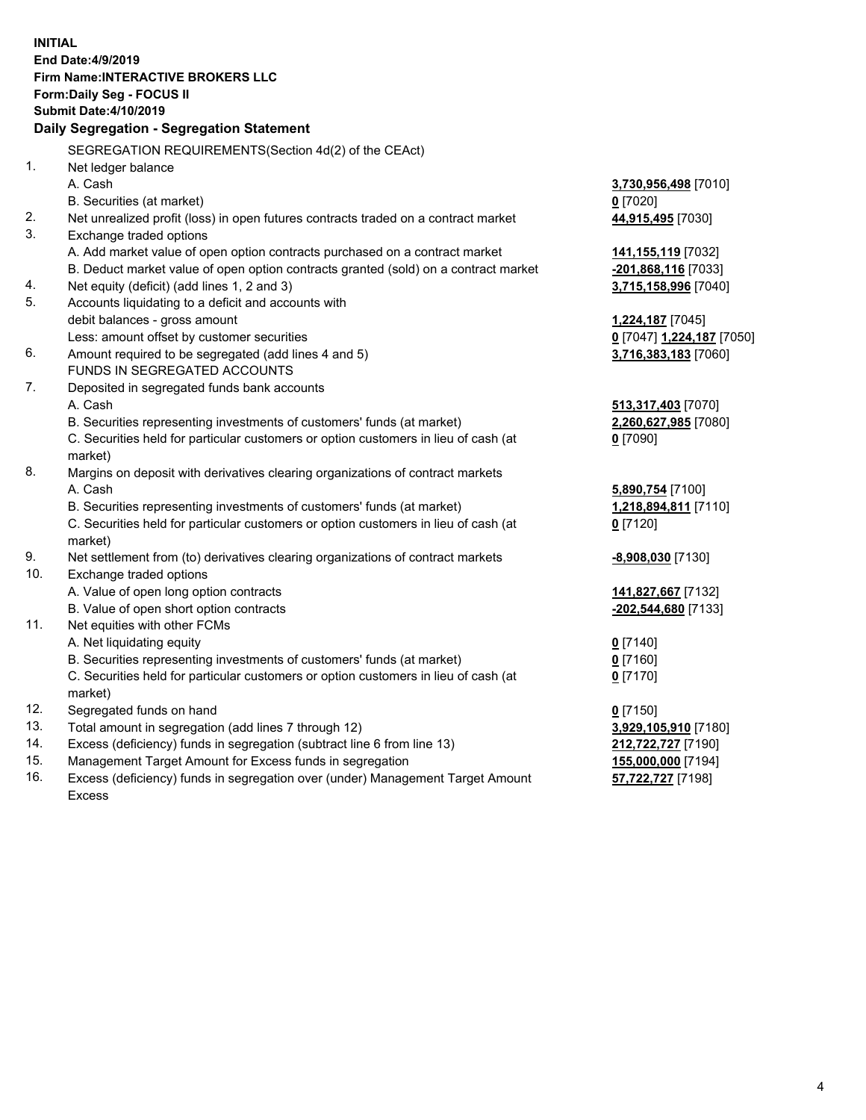**INITIAL End Date:4/9/2019 Firm Name:INTERACTIVE BROKERS LLC Form:Daily Seg - FOCUS II Submit Date:4/10/2019 Daily Segregation - Segregation Statement** SEGREGATION REQUIREMENTS(Section 4d(2) of the CEAct) 1. Net ledger balance A. Cash **3,730,956,498** [7010] B. Securities (at market) **0** [7020] 2. Net unrealized profit (loss) in open futures contracts traded on a contract market **44,915,495** [7030] 3. Exchange traded options A. Add market value of open option contracts purchased on a contract market **141,155,119** [7032] B. Deduct market value of open option contracts granted (sold) on a contract market **-201,868,116** [7033] 4. Net equity (deficit) (add lines 1, 2 and 3) **3,715,158,996** [7040] 5. Accounts liquidating to a deficit and accounts with debit balances - gross amount **1,224,187** [7045] Less: amount offset by customer securities **0** [7047] **1,224,187** [7050] 6. Amount required to be segregated (add lines 4 and 5) **3,716,383,183** [7060] FUNDS IN SEGREGATED ACCOUNTS 7. Deposited in segregated funds bank accounts A. Cash **513,317,403** [7070] B. Securities representing investments of customers' funds (at market) **2,260,627,985** [7080] C. Securities held for particular customers or option customers in lieu of cash (at market) **0** [7090] 8. Margins on deposit with derivatives clearing organizations of contract markets A. Cash **5,890,754** [7100] B. Securities representing investments of customers' funds (at market) **1,218,894,811** [7110] C. Securities held for particular customers or option customers in lieu of cash (at market) **0** [7120] 9. Net settlement from (to) derivatives clearing organizations of contract markets **-8,908,030** [7130] 10. Exchange traded options A. Value of open long option contracts **141,827,667** [7132] B. Value of open short option contracts **-202,544,680** [7133] 11. Net equities with other FCMs A. Net liquidating equity **0** [7140] B. Securities representing investments of customers' funds (at market) **0** [7160] C. Securities held for particular customers or option customers in lieu of cash (at market) **0** [7170] 12. Segregated funds on hand **0** [7150] 13. Total amount in segregation (add lines 7 through 12) **3,929,105,910** [7180] 14. Excess (deficiency) funds in segregation (subtract line 6 from line 13) **212,722,727** [7190] 15. Management Target Amount for Excess funds in segregation **155,000,000** [7194] **57,722,727** [7198]

16. Excess (deficiency) funds in segregation over (under) Management Target Amount Excess